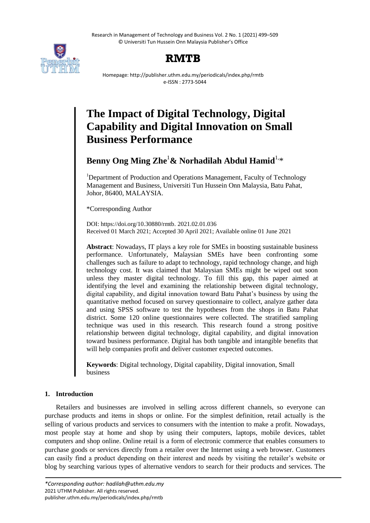Research in Management of Technology and Business Vol. 2 No. 1 (2021) 499–509 © Universiti Tun Hussein Onn Malaysia Publisher's Office



## **RMTB**

Homepage: http://publisher.uthm.edu.my/periodicals/index.php/rmtb e-ISSN : 2773-5044

# **The Impact of Digital Technology, Digital Capability and Digital Innovation on Small Business Performance**

**Benny Ong Ming Zhe**<sup>1</sup>**& Norhadilah Abdul Hamid**1, \*

<sup>1</sup>Department of Production and Operations Management, Faculty of Technology Management and Business, Universiti Tun Hussein Onn Malaysia, Batu Pahat, Johor, 86400, MALAYSIA.

\*Corresponding Author

DOI: https://doi.org/10.30880/rmtb. 2021.02.01.036 Received 01 March 2021; Accepted 30 April 2021; Available online 01 June 2021

**Abstract**: Nowadays, IT plays a key role for SMEs in boosting sustainable business performance. Unfortunately, Malaysian SMEs have been confronting some challenges such as failure to adapt to technology, rapid technology change, and high technology cost. It was claimed that Malaysian SMEs might be wiped out soon unless they master digital technology. To fill this gap, this paper aimed at identifying the level and examining the relationship between digital technology, digital capability, and digital innovation toward Batu Pahat's business by using the quantitative method focused on survey questionnaire to collect, analyze gather data and using SPSS software to test the hypotheses from the shops in Batu Pahat district. Some 120 online questionnaires were collected. The stratified sampling technique was used in this research. This research found a strong positive relationship between digital technology, digital capability, and digital innovation toward business performance. Digital has both tangible and intangible benefits that will help companies profit and deliver customer expected outcomes.

**Keywords**: Digital technology, Digital capability, Digital innovation, Small business

## **1. Introduction**

Retailers and businesses are involved in selling across different channels, so everyone can purchase products and items in shops or online. For the simplest definition, retail actually is the selling of various products and services to consumers with the intention to make a profit. Nowadays, most people stay at home and shop by using their computers, laptops, mobile devices, tablet computers and shop online. Online retail is a form of electronic commerce that enables consumers to purchase goods or services directly from a retailer over the Internet using a web browser. Customers can easily find a product depending on their interest and needs by visiting the retailer's website or blog by searching various types of alternative vendors to search for their products and services. The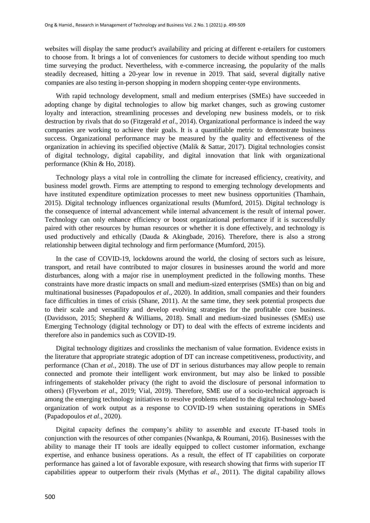websites will display the same product's availability and pricing at different e-retailers for customers to choose from. It brings a lot of conveniences for customers to decide without spending too much time surveying the product. Nevertheless, with e-commerce increasing, the popularity of the malls steadily decreased, hitting a 20-year low in revenue in 2019. That said, several digitally native companies are also testing in-person shopping in modern shopping center-type environments.

With rapid technology development, small and medium enterprises (SMEs) have succeeded in adopting change by digital technologies to allow big market changes, such as growing customer loyalty and interaction, streamlining processes and developing new business models, or to risk destruction by rivals that do so (Fitzgerald *et al*., 2014). Organizational performance is indeed the way companies are working to achieve their goals. It is a quantifiable metric to demonstrate business success. Organizational performance may be measured by the quality and effectiveness of the organization in achieving its specified objective (Malik & Sattar, 2017). Digital technologies consist of digital technology, digital capability, and digital innovation that link with organizational performance (Khin & Ho, 2018).

Technology plays a vital role in controlling the climate for increased efficiency, creativity, and business model growth. Firms are attempting to respond to emerging technology developments and have instituted expenditure optimization processes to meet new business opportunities (Thamhain, 2015). Digital technology influences organizational results (Mumford, 2015). Digital technology is the consequence of internal advancement while internal advancement is the result of internal power. Technology can only enhance efficiency or boost organizational performance if it is successfully paired with other resources by human resources or whether it is done effectively, and technology is used productively and ethically (Dauda & Akingbade, 2016). Therefore, there is also a strong relationship between digital technology and firm performance (Mumford, 2015).

In the case of COVID-19, lockdowns around the world, the closing of sectors such as leisure, transport, and retail have contributed to major closures in businesses around the world and more disturbances, along with a major rise in unemployment predicted in the following months. These constraints have more drastic impacts on small and medium-sized enterprises (SMEs) than on big and multinational businesses (Papadopoulos *et al*., 2020). In addition, small companies and their founders face difficulties in times of crisis (Shane, 2011). At the same time, they seek potential prospects due to their scale and versatility and develop evolving strategies for the profitable core business. (Davidsson, 2015; Shepherd & Williams, 2018). Small and medium-sized businesses (SMEs) use Emerging Technology (digital technology or DT) to deal with the effects of extreme incidents and therefore also in pandemics such as COVID-19.

Digital technology digitizes and crosslinks the mechanism of value formation. Evidence exists in the literature that appropriate strategic adoption of DT can increase competitiveness, productivity, and performance (Chan *et al*., 2018). The use of DT in serious disturbances may allow people to remain connected and promote their intelligent work environment, but may also be linked to possible infringements of stakeholder privacy (the right to avoid the disclosure of personal information to others) (Flyverbom *et al*., 2019; Vial, 2019). Therefore, SME use of a socio-technical approach is among the emerging technology initiatives to resolve problems related to the digital technology-based organization of work output as a response to COVID-19 when sustaining operations in SMEs (Papadopoulos *et al*., 2020).

Digital capacity defines the company's ability to assemble and execute IT-based tools in conjunction with the resources of other companies (Nwankpa, & Roumani, 2016). Businesses with the ability to manage their IT tools are ideally equipped to collect customer information, exchange expertise, and enhance business operations. As a result, the effect of IT capabilities on corporate performance has gained a lot of favorable exposure, with research showing that firms with superior IT capabilities appear to outperform their rivals (Mythas *et al*., 2011). The digital capability allows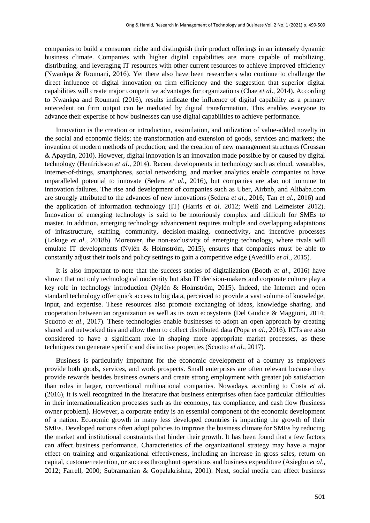companies to build a consumer niche and distinguish their product offerings in an intensely dynamic business climate. Companies with higher digital capabilities are more capable of mobilizing, distributing, and leveraging IT resources with other current resources to achieve improved efficiency (Nwankpa & Roumani, 2016). Yet there also have been researchers who continue to challenge the direct influence of digital innovation on firm efficiency and the suggestion that superior digital capabilities will create major competitive advantages for organizations (Chae *et al*., 2014). According to Nwankpa and Roumani (2016), results indicate the influence of digital capability as a primary antecedent on firm output can be mediated by digital transformation. This enables everyone to advance their expertise of how businesses can use digital capabilities to achieve performance.

Innovation is the creation or introduction, assimilation, and utilization of value-added novelty in the social and economic fields; the transformation and extension of goods, services and markets; the invention of modern methods of production; and the creation of new management structures (Crossan & Apaydin, 2010). However, digital innovation is an innovation made possible by or caused by digital technology (Henfridsson *et al*., 2014). Recent developments in technology such as cloud, wearables, Internet-of-things, smartphones, social networking, and market analytics enable companies to have unparalleled potential to innovate (Sedera *et al*., 2016), but companies are also not immune to innovation failures. The rise and development of companies such as Uber, Airbnb, and Alibaba.com are strongly attributed to the advances of new innovations (Sedera *et al*., 2016; Tan *et al*., 2016) and the application of information technology (IT) (Harris *et al*. 2012; Weiß and Leimeister 2012). Innovation of emerging technology is said to be notoriously complex and difficult for SMEs to master. In addition, emerging technology advancement requires multiple and overlapping adaptations of infrastructure, staffing, community, decision-making, connectivity, and incentive processes (Lokuge *et al*., 2018b). Moreover, the non-exclusivity of emerging technology, where rivals will emulate IT developments (Nylén & Holmström, 2015), ensures that companies must be able to constantly adjust their tools and policy settings to gain a competitive edge (Avedillo *et al*., 2015).

It is also important to note that the success stories of digitalization (Booth *et al*., 2016) have shown that not only technological modernity but also IT decision-makers and corporate culture play a key role in technology introduction (Nylén & Holmström, 2015). Indeed, the Internet and open standard technology offer quick access to big data, perceived to provide a vast volume of knowledge, input, and expertise. These resources also promote exchanging of ideas, knowledge sharing, and cooperation between an organization as well as its own ecosystems (Del Giudice & Maggioni, 2014; Scuotto *et al.*, 2017). These technologies enable businesses to adopt an open approach by creating shared and networked ties and allow them to collect distributed data (Popa *et al*., 2016). ICTs are also considered to have a significant role in shaping more appropriate market processes, as these techniques can generate specific and distinctive properties (Scuotto *et al*., 2017).

Business is particularly important for the economic development of a country as employers provide both goods, services, and work prospects. Small enterprises are often relevant because they provide rewards besides business owners and create strong employment with greater job satisfaction than roles in larger, conventional multinational companies. Nowadays, according to Costa *et al*. (2016), it is well recognized in the literature that business enterprises often face particular difficulties in their internationalization processes such as the economy, tax compliance, and cash flow (business owner problem). However, a corporate entity is an essential component of the economic development of a nation. Economic growth in many less developed countries is impacting the growth of their SMEs. Developed nations often adopt policies to improve the business climate for SMEs by reducing the market and institutional constraints that hinder their growth. It has been found that a few factors can affect business performance. Characteristics of the organizational strategy may have a major effect on training and organizational effectiveness, including an increase in gross sales, return on capital, customer retention, or success throughout operations and business expenditure (Asiegbu *et al*., 2012; Farrell, 2000; Subramanian & Gopalakrishna, 2001). Next, social media can affect business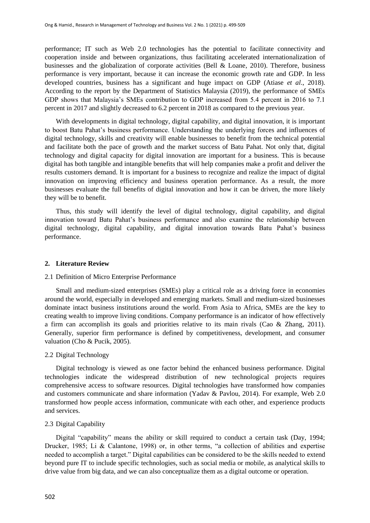performance; IT such as Web 2.0 technologies has the potential to facilitate connectivity and cooperation inside and between organizations, thus facilitating accelerated internationalization of businesses and the globalization of corporate activities (Bell & Loane, 2010). Therefore, business performance is very important, because it can increase the economic growth rate and GDP. In less developed countries, business has a significant and huge impact on GDP (Atiase *et al*., 2018). According to the report by the Department of Statistics Malaysia (2019), the performance of SMEs GDP shows that Malaysia's SMEs contribution to GDP increased from 5.4 percent in 2016 to 7.1 percent in 2017 and slightly decreased to 6.2 percent in 2018 as compared to the previous year.

With developments in digital technology, digital capability, and digital innovation, it is important to boost Batu Pahat's business performance. Understanding the underlying forces and influences of digital technology, skills and creativity will enable businesses to benefit from the technical potential and facilitate both the pace of growth and the market success of Batu Pahat. Not only that, digital technology and digital capacity for digital innovation are important for a business. This is because digital has both tangible and intangible benefits that will help companies make a profit and deliver the results customers demand. It is important for a business to recognize and realize the impact of digital innovation on improving efficiency and business operation performance. As a result, the more businesses evaluate the full benefits of digital innovation and how it can be driven, the more likely they will be to benefit.

Thus, this study will identify the level of digital technology, digital capability, and digital innovation toward Batu Pahat's business performance and also examine the relationship between digital technology, digital capability, and digital innovation towards Batu Pahat's business performance.

#### **2. Literature Review**

## 2.1 Definition of Micro Enterprise Performance

Small and medium-sized enterprises (SMEs) play a critical role as a driving force in economies around the world, especially in developed and emerging markets. Small and medium-sized businesses dominate intact business institutions around the world. From Asia to Africa, SMEs are the key to creating wealth to improve living conditions. Company performance is an indicator of how effectively a firm can accomplish its goals and priorities relative to its main rivals (Cao & Zhang, 2011). Generally, superior firm performance is defined by competitiveness, development, and consumer valuation (Cho & Pucik, 2005).

#### 2.2 Digital Technology

Digital technology is viewed as one factor behind the enhanced business performance. Digital technologies indicate the widespread distribution of new technological projects requires comprehensive access to software resources. Digital technologies have transformed how companies and customers communicate and share information (Yadav & Pavlou, 2014). For example, Web 2.0 transformed how people access information, communicate with each other, and experience products and services.

## 2.3 Digital Capability

Digital "capability" means the ability or skill required to conduct a certain task (Day, 1994; Drucker, 1985; Li & Calantone, 1998) or, in other terms, "a collection of abilities and expertise needed to accomplish a target." Digital capabilities can be considered to be the skills needed to extend beyond pure IT to include specific technologies, such as social media or mobile, as analytical skills to drive value from big data, and we can also conceptualize them as a digital outcome or operation.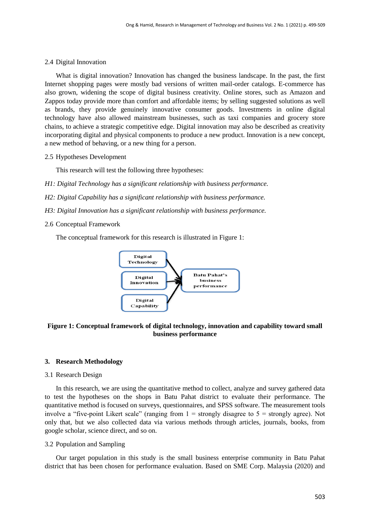## 2.4 Digital Innovation

What is digital innovation? Innovation has changed the business landscape. In the past, the first Internet shopping pages were mostly bad versions of written mail-order catalogs. E-commerce has also grown, widening the scope of digital business creativity. Online stores, such as Amazon and Zappos today provide more than comfort and affordable items; by selling suggested solutions as well as brands, they provide genuinely innovative consumer goods. Investments in online digital technology have also allowed mainstream businesses, such as taxi companies and grocery store chains, to achieve a strategic competitive edge. Digital innovation may also be described as creativity incorporating digital and physical components to produce a new product. Innovation is a new concept, a new method of behaving, or a new thing for a person.

2.5 Hypotheses Development

This research will test the following three hypotheses:

- *H1: Digital Technology has a significant relationship with business performance.*
- *H2: Digital Capability has a significant relationship with business performance.*
- *H3: Digital Innovation has a significant relationship with business performance.*
- 2.6 Conceptual Framework

The conceptual framework for this research is illustrated in Figure 1:



## **Figure 1: Conceptual framework of digital technology, innovation and capability toward small business performance**

## **3. Research Methodology**

## 3.1 Research Design

In this research, we are using the quantitative method to collect, analyze and survey gathered data to test the hypotheses on the shops in Batu Pahat district to evaluate their performance. The quantitative method is focused on surveys, questionnaires, and SPSS software. The measurement tools involve a "five-point Likert scale" (ranging from  $1 =$  strongly disagree to  $5 =$  strongly agree). Not only that, but we also collected data via various methods through articles, journals, books, from google scholar, science direct, and so on.

## 3.2 Population and Sampling

Our target population in this study is the small business enterprise community in Batu Pahat district that has been chosen for performance evaluation. Based on SME Corp. Malaysia (2020) and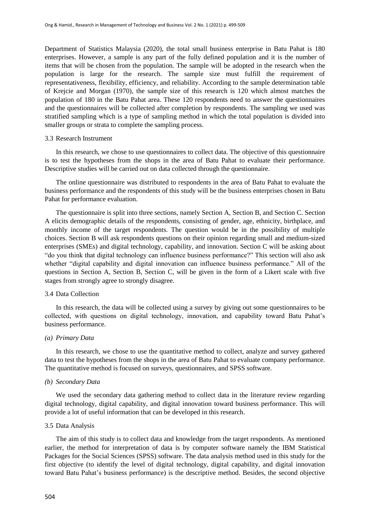Department of Statistics Malaysia (2020), the total small business enterprise in Batu Pahat is 180 enterprises. However, a sample is any part of the fully defined population and it is the number of items that will be chosen from the population. The sample will be adopted in the research when the population is large for the research. The sample size must fulfill the requirement of representativeness, flexibility, efficiency, and reliability. According to the sample determination table of Krejcie and Morgan (1970), the sample size of this research is 120 which almost matches the population of 180 in the Batu Pahat area. These 120 respondents need to answer the questionnaires and the questionnaires will be collected after completion by respondents. The sampling we used was stratified sampling which is a type of sampling method in which the total population is divided into smaller groups or strata to complete the sampling process.

#### 3.3 Research Instrument

In this research, we chose to use questionnaires to collect data. The objective of this questionnaire is to test the hypotheses from the shops in the area of Batu Pahat to evaluate their performance. Descriptive studies will be carried out on data collected through the questionnaire.

The online questionnaire was distributed to respondents in the area of Batu Pahat to evaluate the business performance and the respondents of this study will be the business enterprises chosen in Batu Pahat for performance evaluation.

The questionnaire is split into three sections, namely Section A, Section B, and Section C. Section A elicits demographic details of the respondents, consisting of gender, age, ethnicity, birthplace, and monthly income of the target respondents. The question would be in the possibility of multiple choices. Section B will ask respondents questions on their opinion regarding small and medium-sized enterprises (SMEs) and digital technology, capability, and innovation. Section C will be asking about "do you think that digital technology can influence business performance?" This section will also ask whether "digital capability and digital innovation can influence business performance." All of the questions in Section A, Section B, Section C, will be given in the form of a Likert scale with five stages from strongly agree to strongly disagree.

## 3.4 Data Collection

In this research, the data will be collected using a survey by giving out some questionnaires to be collected, with questions on digital technology, innovation, and capability toward Batu Pahat's business performance.

#### *(a) Primary Data*

In this research, we chose to use the quantitative method to collect, analyze and survey gathered data to test the hypotheses from the shops in the area of Batu Pahat to evaluate company performance. The quantitative method is focused on surveys, questionnaires, and SPSS software.

## *(b) Secondary Data*

We used the secondary data gathering method to collect data in the literature review regarding digital technology, digital capability, and digital innovation toward business performance. This will provide a lot of useful information that can be developed in this research.

## 3.5 Data Analysis

The aim of this study is to collect data and knowledge from the target respondents. As mentioned earlier, the method for interpretation of data is by computer software namely the IBM Statistical Packages for the Social Sciences (SPSS) software. The data analysis method used in this study for the first objective (to identify the level of digital technology, digital capability, and digital innovation toward Batu Pahat's business performance) is the descriptive method. Besides, the second objective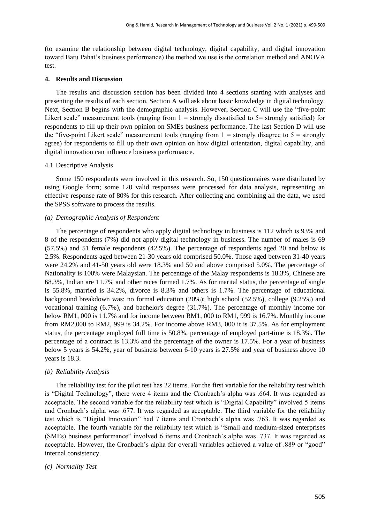(to examine the relationship between digital technology, digital capability, and digital innovation toward Batu Pahat's business performance) the method we use is the correlation method and ANOVA test.

## **4. Results and Discussion**

The results and discussion section has been divided into 4 sections starting with analyses and presenting the results of each section. Section A will ask about basic knowledge in digital technology. Next, Section B begins with the demographic analysis. However, Section C will use the "five-point Likert scale" measurement tools (ranging from  $1 =$  strongly dissatisfied to  $5 =$  strongly satisfied) for respondents to fill up their own opinion on SMEs business performance. The last Section D will use the "five-point Likert scale" measurement tools (ranging from  $1 =$  strongly disagree to  $5 =$  strongly agree) for respondents to fill up their own opinion on how digital orientation, digital capability, and digital innovation can influence business performance.

## 4.1 Descriptive Analysis

Some 150 respondents were involved in this research. So, 150 questionnaires were distributed by using Google form; some 120 valid responses were processed for data analysis, representing an effective response rate of 80% for this research. After collecting and combining all the data, we used the SPSS software to process the results.

## *(a) Demographic Analysis of Respondent*

The percentage of respondents who apply digital technology in business is 112 which is 93% and 8 of the respondents (7%) did not apply digital technology in business. The number of males is 69 (57.5%) and 51 female respondents (42.5%). The percentage of respondents aged 20 and below is 2.5%. Respondents aged between 21-30 years old comprised 50.0%. Those aged between 31-40 years were 24.2% and 41-50 years old were 18.3% and 50 and above comprised 5.0%. The percentage of Nationality is 100% were Malaysian. The percentage of the Malay respondents is 18.3%, Chinese are 68.3%, Indian are 11.7% and other races formed 1.7%. As for marital status, the percentage of single is 55.8%, married is 34.2%, divorce is 8.3% and others is 1.7%. The percentage of educational background breakdown was: no formal education (20%); high school (52.5%), college (9.25%) and vocational training (6.7%), and bachelor's degree (31.7%). The percentage of monthly income for below RM1, 000 is 11.7% and for income between RM1, 000 to RM1, 999 is 16.7%. Monthly income from RM2,000 to RM2, 999 is 34.2%. For income above RM3, 000 it is 37.5%. As for employment status, the percentage employed full time is 50.8%, percentage of employed part-time is 18.3%. The percentage of a contract is 13.3% and the percentage of the owner is 17.5%. For a year of business below 5 years is 54.2%, year of business between 6-10 years is 27.5% and year of business above 10 years is 18.3.

## *(b) Reliability Analysis*

The reliability test for the pilot test has 22 items. For the first variable for the reliability test which is "Digital Technology", there were 4 items and the Cronbach's alpha was .664. It was regarded as acceptable. The second variable for the reliability test which is "Digital Capability" involved 5 items and Cronbach's alpha was .677. It was regarded as acceptable. The third variable for the reliability test which is "Digital Innovation" had 7 items and Cronbach's alpha was .763. It was regarded as acceptable. The fourth variable for the reliability test which is "Small and medium-sized enterprises (SMEs) business performance" involved 6 items and Cronbach's alpha was .737. It was regarded as acceptable. However, the Cronbach's alpha for overall variables achieved a value of .889 or "good" internal consistency.

## *(c) Normality Test*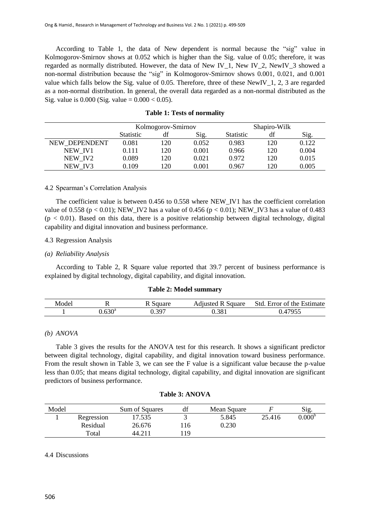According to Table 1, the data of New dependent is normal because the "sig" value in Kolmogorov-Smirnov shows at 0.052 which is higher than the Sig. value of 0.05; therefore, it was regarded as normally distributed. However, the data of New IV\_1, New IV\_2, NewIV\_3 showed a non-normal distribution because the "sig" in Kolmogorov-Smirnov shows 0.001, 0.021, and 0.001 value which falls below the Sig. value of 0.05. Therefore, three of these NewIV\_1, 2, 3 are regarded as a non-normal distribution. In general, the overall data regarded as a non-normal distributed as the Sig. value is  $0.000$  (Sig. value =  $0.000 < 0.05$ ).

|               | Kolmogorov-Smirnov |           |       | Shapiro-Wilk     |     |       |
|---------------|--------------------|-----------|-------|------------------|-----|-------|
|               | <b>Statistic</b>   | df        | Sig.  | <b>Statistic</b> | df  | Sig.  |
| NEW DEPENDENT | 0.081              | 120       | 0.052 | 0.983            | 120 | 0.122 |
| NEW IV1       | 0.111              | 120       | 0.001 | 0.966            | 120 | 0.004 |
| NEW IV2       | 0.089              | 120       | 0.021 | 0.972            | 120 | 0.015 |
| NEW IV3       | 0.109              | <b>20</b> | 0.001 | 0.967            | 120 | 0.005 |

## **Table 1: Tests of normality**

#### 4.2 Spearman's Correlation Analysis

The coefficient value is between 0.456 to 0.558 where NEW\_IV1 has the coefficient correlation value of 0.558 ( $p < 0.01$ ); NEW\_IV2 has a value of 0.456 ( $p < 0.01$ ); NEW\_IV3 has a value of 0.483  $(p < 0.01)$ . Based on this data, there is a positive relationship between digital technology, digital capability and digital innovation and business performance.

## 4.3 Regression Analysis

#### *(a) Reliability Analysis*

According to Table 2, R Square value reported that 39.7 percent of business performance is explained by digital technology, digital capability, and digital innovation.

#### **Table 2: Model summary**

| Mode. | . .  | quare | Square<br>$\mathbf{a}$ | Estimate<br>Std.<br>the<br>. Error of |
|-------|------|-------|------------------------|---------------------------------------|
|       | 0000 | 307   | ).381                  | ATOFC                                 |

## *(b) ANOVA*

Table 3 gives the results for the ANOVA test for this research. It shows a significant predictor between digital technology, digital capability, and digital innovation toward business performance. From the result shown in Table 3, we can see the F value is a significant value because the p-value less than 0.05; that means digital technology, digital capability, and digital innovation are significant predictors of business performance.

| Model |            | Sum of Squares | df | Mean Square |        | Sig.            |
|-------|------------|----------------|----|-------------|--------|-----------------|
|       | Regression | 17.535         |    | 5.845       | 25.416 | $0.000^{\circ}$ |
|       | Residual   | 26.676         | 16 | 0.230       |        |                 |
|       | Total      | 44.211         | 19 |             |        |                 |

## **Table 3: ANOVA**

#### 4.4 Discussions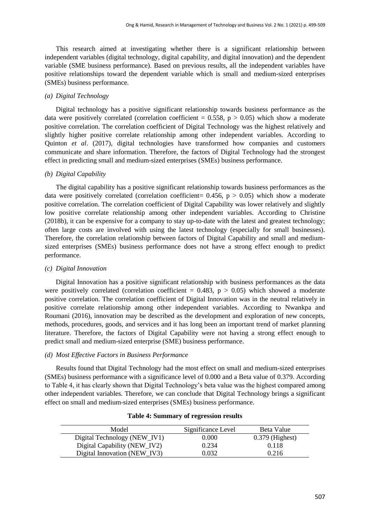This research aimed at investigating whether there is a significant relationship between independent variables (digital technology, digital capability, and digital innovation) and the dependent variable (SME business performance). Based on previous results, all the independent variables have positive relationships toward the dependent variable which is small and medium-sized enterprises (SMEs) business performance.

## *(a) Digital Technology*

Digital technology has a positive significant relationship towards business performance as the data were positively correlated (correlation coefficient =  $0.558$ , p >  $0.05$ ) which show a moderate positive correlation. The correlation coefficient of Digital Technology was the highest relatively and slightly higher positive correlate relationship among other independent variables. According to Quinton *et al*. (2017), digital technologies have transformed how companies and customers communicate and share information. Therefore, the factors of Digital Technology had the strongest effect in predicting small and medium-sized enterprises (SMEs) business performance.

#### *(b) Digital Capability*

The digital capability has a positive significant relationship towards business performances as the data were positively correlated (correlation coefficient=  $0.456$ , p  $> 0.05$ ) which show a moderate positive correlation. The correlation coefficient of Digital Capability was lower relatively and slightly low positive correlate relationship among other independent variables. According to Christine (2018b), it can be expensive for a company to stay up-to-date with the latest and greatest technology; often large costs are involved with using the latest technology (especially for small businesses). Therefore, the correlation relationship between factors of Digital Capability and small and mediumsized enterprises (SMEs) business performance does not have a strong effect enough to predict performance.

## *(c) Digital Innovation*

Digital Innovation has a positive significant relationship with business performances as the data were positively correlated (correlation coefficient =  $0.483$ , p >  $0.05$ ) which showed a moderate positive correlation. The correlation coefficient of Digital Innovation was in the neutral relatively in positive correlate relationship among other independent variables. According to Nwankpa and Roumani (2016), innovation may be described as the development and exploration of new concepts, methods, procedures, goods, and services and it has long been an important trend of market planning literature. Therefore, the factors of Digital Capability were not having a strong effect enough to predict small and medium-sized enterprise (SME) business performance.

#### *(d) Most Effective Factors in Business Performance*

Results found that Digital Technology had the most effect on small and medium-sized enterprises (SMEs) business performance with a significance level of 0.000 and a Beta value of 0.379. According to Table 4, it has clearly shown that Digital Technology's beta value was the highest compared among other independent variables. Therefore, we can conclude that Digital Technology brings a significant effect on small and medium-sized enterprises (SMEs) business performance.

| Model                        | Significance Level | Beta Value        |
|------------------------------|--------------------|-------------------|
| Digital Technology (NEW_IV1) | 0.000              | $0.379$ (Highest) |
| Digital Capability (NEW_IV2) | 0.234              | 0.118             |
| Digital Innovation (NEW_IV3) | 0.032              | 0.216             |

## **Table 4: Summary of regression results**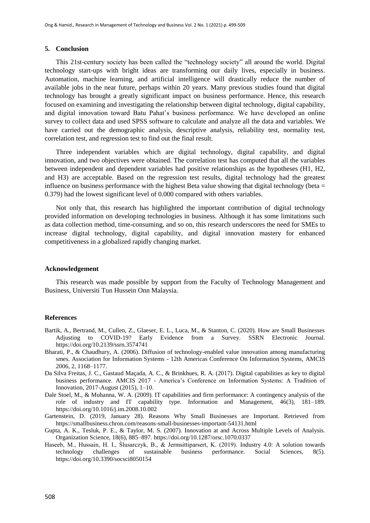#### **5. Conclusion**

This 21st-century society has been called the "technology society" all around the world. Digital technology start-ups with bright ideas are transforming our daily lives, especially in business. Automation, machine learning, and artificial intelligence will drastically reduce the number of available jobs in the near future, perhaps within 20 years. Many previous studies found that digital technology has brought a greatly significant impact on business performance. Hence, this research focused on examining and investigating the relationship between digital technology, digital capability, and digital innovation toward Batu Pahat's business performance. We have developed an online survey to collect data and used SPSS software to calculate and analyze all the data and variables. We have carried out the demographic analysis, descriptive analysis, reliability test, normality test, correlation test, and regression test to find out the final result.

Three independent variables which are digital technology, digital capability, and digital innovation, and two objectives were obtained. The correlation test has computed that all the variables between independent and dependent variables had positive relationships as the hypotheses (H1, H2, and H3) are acceptable. Based on the regression test results, digital technology had the greatest influence on business performance with the highest Beta value showing that digital technology (beta  $=$ 0.379) had the lowest significant level of 0.000 compared with others variables.

Not only that, this research has highlighted the important contribution of digital technology provided information on developing technologies in business. Although it has some limitations such as data collection method, time-consuming, and so on, this research underscores the need for SMEs to increase digital technology, digital capability, and digital innovation mastery for enhanced competitiveness in a globalized rapidly changing market.

## **Acknowledgement**

This research was made possible by support from the Faculty of Technology Management and Business, Universiti Tun Hussein Onn Malaysia.

#### **References**

- Bartik, A., Bertrand, M., Cullen, Z., Glaeser, E. L., Luca, M., & Stanton, C. (2020). How are Small Businesses Adjusting to COVID-19? Early Evidence from a Survey. SSRN Electronic Journal. https://doi.org/10.2139/ssrn.3574741
- Bharati, P., & Chaudhury, A. (2006). Diffusion of technology-enabled value innovation among manufacturing smes. Association for Information Systems - 12th Americas Conference On Information Systems, AMCIS 2006, 2, 1168–1177.
- Da Silva Freitas, J. C., Gastaud Maçada, A. C., & Brinkhues, R. A. (2017). Digital capabilities as key to digital business performance. AMCIS 2017 - America's Conference on Information Systems: A Tradition of Innovation, 2017-August (2015), 1–10.
- Dale Stoel, M., & Muhanna, W. A. (2009). IT capabilities and firm performance: A contingency analysis of the role of industry and IT capability type. Information and Management, 46(3), 181–189. https://doi.org/10.1016/j.im.2008.10.002
- Gartenstein, D. (2019, January 28). Reasons Why Small Businesses are Important. Retrieved from https://smallbusiness.chron.com/reasons-small-businesses-important-54131.html
- Gupta, A. K., Tesluk, P. E., & Taylor, M. S. (2007). Innovation at and Across Multiple Levels of Analysis. Organization Science, 18(6), 885–897. https://doi.org/10.1287/orsc.1070.0337
- Haseeb, M., Hussain, H. I., Ślusarczyk, B., & Jermsittiparsert, K. (2019). Industry 4.0: A solution towards technology challenges of sustainable business performance. Social Sciences, 8(5). https://doi.org/10.3390/socsci8050154